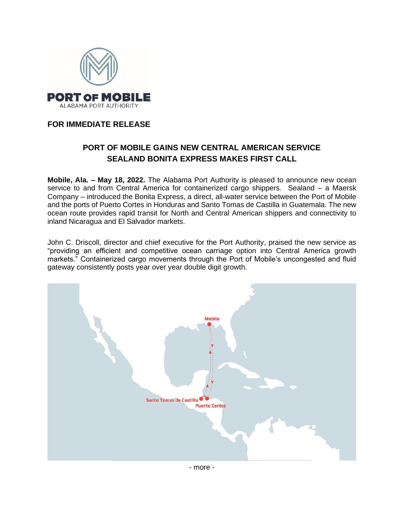

## **FOR IMMEDIATE RELEASE**

## **PORT OF MOBILE GAINS NEW CENTRAL AMERICAN SERVICE SEALAND BONITA EXPRESS MAKES FIRST CALL**

**Mobile, Ala. – May 18, 2022.** The Alabama Port Authority is pleased to announce new ocean service to and from Central America for containerized cargo shippers. Sealand – a Maersk Company – introduced the Bonita Express, a direct, all-water service between the Port of Mobile and the ports of Puerto Cortes in Honduras and Santo Tomas de Castilla in Guatemala. The new ocean route provides rapid transit for North and Central American shippers and connectivity to inland Nicaragua and El Salvador markets.

John C. Driscoll, director and chief executive for the Port Authority, praised the new service as "providing an efficient and competitive ocean carriage option into Central America growth markets." Containerized cargo movements through the Port of Mobile's uncongested and fluid gateway consistently posts year over year double digit growth.